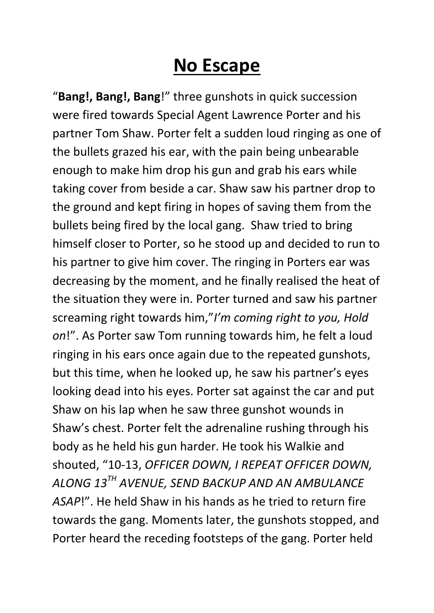## **No Escape**

"**Bang!, Bang!, Bang**!" three gunshots in quick succession were fired towards Special Agent Lawrence Porter and his partner Tom Shaw. Porter felt a sudden loud ringing as one of the bullets grazed his ear, with the pain being unbearable enough to make him drop his gun and grab his ears while taking cover from beside a car. Shaw saw his partner drop to the ground and kept firing in hopes of saving them from the bullets being fired by the local gang. Shaw tried to bring himself closer to Porter, so he stood up and decided to run to his partner to give him cover. The ringing in Porters ear was decreasing by the moment, and he finally realised the heat of the situation they were in. Porter turned and saw his partner screaming right towards him,"*I'm coming right to you, Hold on*!". As Porter saw Tom running towards him, he felt a loud ringing in his ears once again due to the repeated gunshots, but this time, when he looked up, he saw his partner's eyes looking dead into his eyes. Porter sat against the car and put Shaw on his lap when he saw three gunshot wounds in Shaw's chest. Porter felt the adrenaline rushing through his body as he held his gun harder. He took his Walkie and shouted, "10-13, *OFFICER DOWN, I REPEAT OFFICER DOWN, ALONG 13TH AVENUE, SEND BACKUP AND AN AMBULANCE ASAP*!". He held Shaw in his hands as he tried to return fire towards the gang. Moments later, the gunshots stopped, and Porter heard the receding footsteps of the gang. Porter held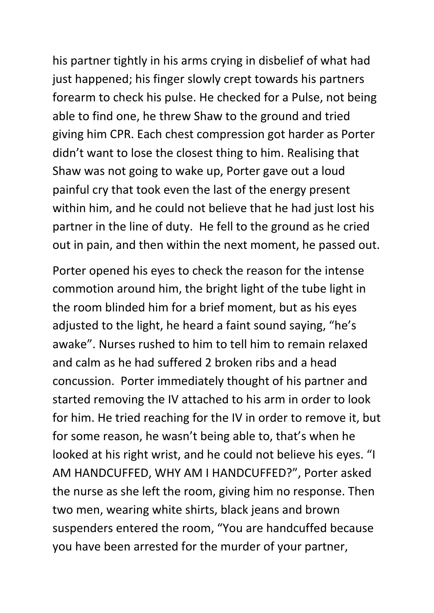his partner tightly in his arms crying in disbelief of what had just happened; his finger slowly crept towards his partners forearm to check his pulse. He checked for a Pulse, not being able to find one, he threw Shaw to the ground and tried giving him CPR. Each chest compression got harder as Porter didn't want to lose the closest thing to him. Realising that Shaw was not going to wake up, Porter gave out a loud painful cry that took even the last of the energy present within him, and he could not believe that he had just lost his partner in the line of duty. He fell to the ground as he cried out in pain, and then within the next moment, he passed out.

Porter opened his eyes to check the reason for the intense commotion around him, the bright light of the tube light in the room blinded him for a brief moment, but as his eyes adjusted to the light, he heard a faint sound saying, "he's awake". Nurses rushed to him to tell him to remain relaxed and calm as he had suffered 2 broken ribs and a head concussion. Porter immediately thought of his partner and started removing the IV attached to his arm in order to look for him. He tried reaching for the IV in order to remove it, but for some reason, he wasn't being able to, that's when he looked at his right wrist, and he could not believe his eyes. "I AM HANDCUFFED, WHY AM I HANDCUFFED?", Porter asked the nurse as she left the room, giving him no response. Then two men, wearing white shirts, black jeans and brown suspenders entered the room, "You are handcuffed because you have been arrested for the murder of your partner,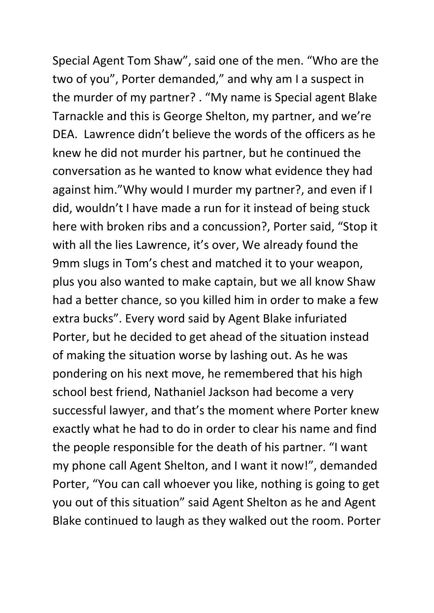Special Agent Tom Shaw", said one of the men. "Who are the two of you", Porter demanded," and why am I a suspect in the murder of my partner? . "My name is Special agent Blake Tarnackle and this is George Shelton, my partner, and we're DEA. Lawrence didn't believe the words of the officers as he knew he did not murder his partner, but he continued the conversation as he wanted to know what evidence they had against him."Why would I murder my partner?, and even if I did, wouldn't I have made a run for it instead of being stuck here with broken ribs and a concussion?, Porter said, "Stop it with all the lies Lawrence, it's over, We already found the 9mm slugs in Tom's chest and matched it to your weapon, plus you also wanted to make captain, but we all know Shaw had a better chance, so you killed him in order to make a few extra bucks". Every word said by Agent Blake infuriated Porter, but he decided to get ahead of the situation instead of making the situation worse by lashing out. As he was pondering on his next move, he remembered that his high school best friend, Nathaniel Jackson had become a very successful lawyer, and that's the moment where Porter knew exactly what he had to do in order to clear his name and find the people responsible for the death of his partner. "I want my phone call Agent Shelton, and I want it now!", demanded Porter, "You can call whoever you like, nothing is going to get you out of this situation" said Agent Shelton as he and Agent Blake continued to laugh as they walked out the room. Porter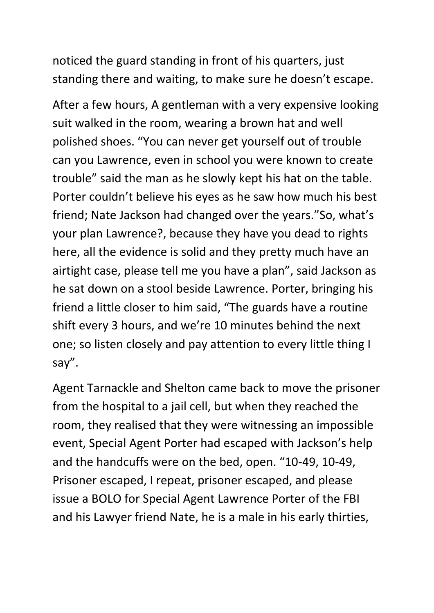noticed the guard standing in front of his quarters, just standing there and waiting, to make sure he doesn't escape.

After a few hours, A gentleman with a very expensive looking suit walked in the room, wearing a brown hat and well polished shoes. "You can never get yourself out of trouble can you Lawrence, even in school you were known to create trouble" said the man as he slowly kept his hat on the table. Porter couldn't believe his eyes as he saw how much his best friend; Nate Jackson had changed over the years."So, what's your plan Lawrence?, because they have you dead to rights here, all the evidence is solid and they pretty much have an airtight case, please tell me you have a plan", said Jackson as he sat down on a stool beside Lawrence. Porter, bringing his friend a little closer to him said, "The guards have a routine shift every 3 hours, and we're 10 minutes behind the next one; so listen closely and pay attention to every little thing I say".

Agent Tarnackle and Shelton came back to move the prisoner from the hospital to a jail cell, but when they reached the room, they realised that they were witnessing an impossible event, Special Agent Porter had escaped with Jackson's help and the handcuffs were on the bed, open. "10-49, 10-49, Prisoner escaped, I repeat, prisoner escaped, and please issue a BOLO for Special Agent Lawrence Porter of the FBI and his Lawyer friend Nate, he is a male in his early thirties,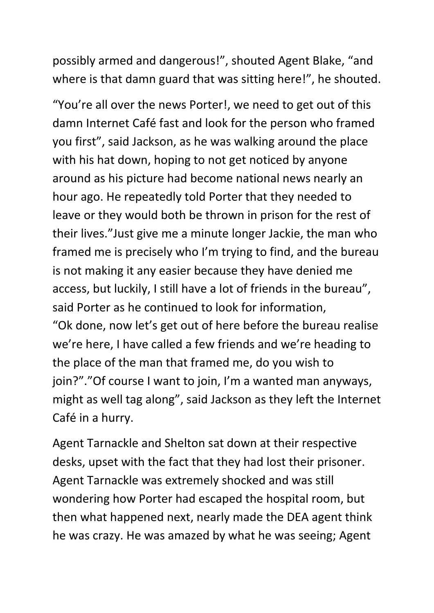possibly armed and dangerous!", shouted Agent Blake, "and where is that damn guard that was sitting here!", he shouted.

"You're all over the news Porter!, we need to get out of this damn Internet Café fast and look for the person who framed you first", said Jackson, as he was walking around the place with his hat down, hoping to not get noticed by anyone around as his picture had become national news nearly an hour ago. He repeatedly told Porter that they needed to leave or they would both be thrown in prison for the rest of their lives."Just give me a minute longer Jackie, the man who framed me is precisely who I'm trying to find, and the bureau is not making it any easier because they have denied me access, but luckily, I still have a lot of friends in the bureau", said Porter as he continued to look for information, "Ok done, now let's get out of here before the bureau realise we're here, I have called a few friends and we're heading to the place of the man that framed me, do you wish to join?"."Of course I want to join, I'm a wanted man anyways, might as well tag along", said Jackson as they left the Internet Café in a hurry.

Agent Tarnackle and Shelton sat down at their respective desks, upset with the fact that they had lost their prisoner. Agent Tarnackle was extremely shocked and was still wondering how Porter had escaped the hospital room, but then what happened next, nearly made the DEA agent think he was crazy. He was amazed by what he was seeing; Agent